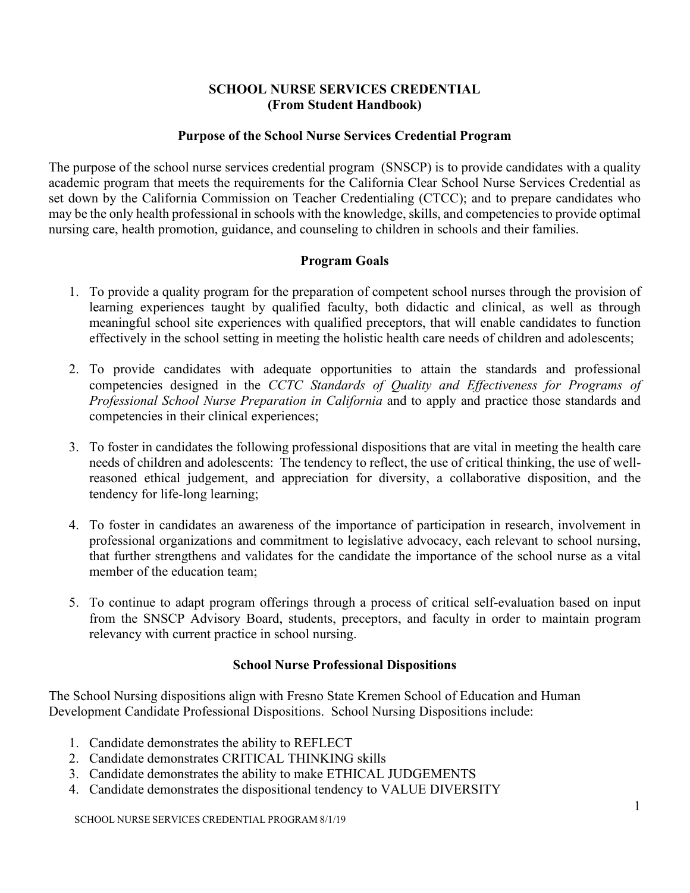## **SCHOOL NURSE SERVICES CREDENTIAL (From Student Handbook)**

## **Purpose of the School Nurse Services Credential Program**

The purpose of the school nurse services credential program (SNSCP) is to provide candidates with a quality academic program that meets the requirements for the California Clear School Nurse Services Credential as set down by the California Commission on Teacher Credentialing (CTCC); and to prepare candidates who may be the only health professional in schools with the knowledge, skills, and competencies to provide optimal nursing care, health promotion, guidance, and counseling to children in schools and their families.

# **Program Goals**

- 1. To provide a quality program for the preparation of competent school nurses through the provision of learning experiences taught by qualified faculty, both didactic and clinical, as well as through meaningful school site experiences with qualified preceptors, that will enable candidates to function effectively in the school setting in meeting the holistic health care needs of children and adolescents;
- 2. To provide candidates with adequate opportunities to attain the standards and professional competencies designed in the *CCTC Standards of Quality and Effectiveness for Programs of Professional School Nurse Preparation in California* and to apply and practice those standards and competencies in their clinical experiences;
- 3. To foster in candidates the following professional dispositions that are vital in meeting the health care needs of children and adolescents: The tendency to reflect, the use of critical thinking, the use of wellreasoned ethical judgement, and appreciation for diversity, a collaborative disposition, and the tendency for life-long learning;
- 4. To foster in candidates an awareness of the importance of participation in research, involvement in professional organizations and commitment to legislative advocacy, each relevant to school nursing, that further strengthens and validates for the candidate the importance of the school nurse as a vital member of the education team;
- 5. To continue to adapt program offerings through a process of critical self-evaluation based on input from the SNSCP Advisory Board, students, preceptors, and faculty in order to maintain program relevancy with current practice in school nursing.

# **School Nurse Professional Dispositions**

The School Nursing dispositions align with Fresno State Kremen School of Education and Human Development Candidate Professional Dispositions. School Nursing Dispositions include:

- 1. Candidate demonstrates the ability to REFLECT
- 2. Candidate demonstrates CRITICAL THINKING skills
- 3. Candidate demonstrates the ability to make ETHICAL JUDGEMENTS
- 4. Candidate demonstrates the dispositional tendency to VALUE DIVERSITY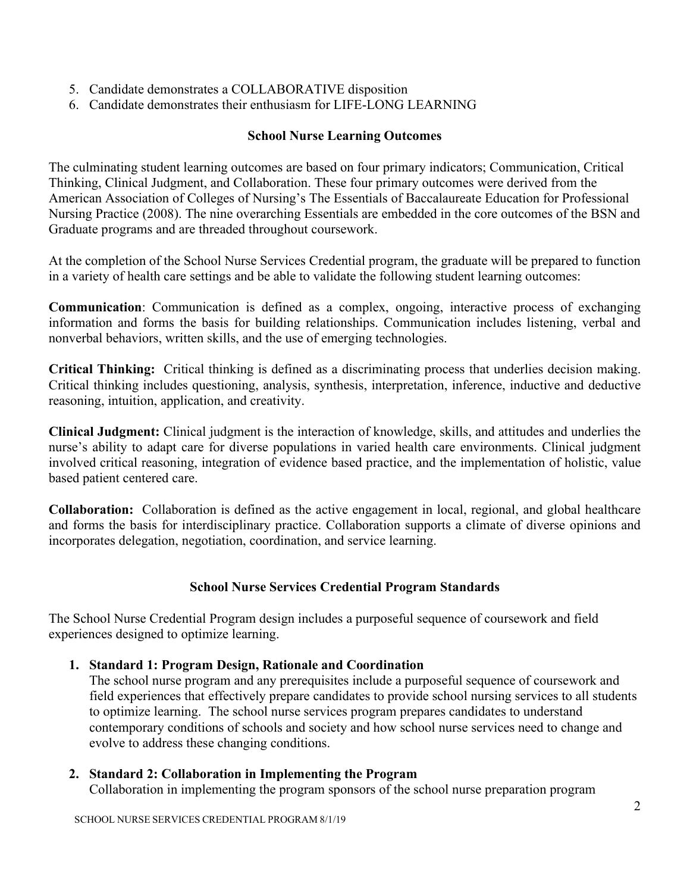- 5. Candidate demonstrates a COLLABORATIVE disposition
- 6. Candidate demonstrates their enthusiasm for LIFE-LONG LEARNING

# **School Nurse Learning Outcomes**

The culminating student learning outcomes are based on four primary indicators; Communication, Critical Thinking, Clinical Judgment, and Collaboration. These four primary outcomes were derived from the American Association of Colleges of Nursing's The Essentials of Baccalaureate Education for Professional Nursing Practice (2008). The nine overarching Essentials are embedded in the core outcomes of the BSN and Graduate programs and are threaded throughout coursework.

At the completion of the School Nurse Services Credential program, the graduate will be prepared to function in a variety of health care settings and be able to validate the following student learning outcomes:

**Communication**: Communication is defined as a complex, ongoing, interactive process of exchanging information and forms the basis for building relationships. Communication includes listening, verbal and nonverbal behaviors, written skills, and the use of emerging technologies.

**Critical Thinking:** Critical thinking is defined as a discriminating process that underlies decision making. Critical thinking includes questioning, analysis, synthesis, interpretation, inference, inductive and deductive reasoning, intuition, application, and creativity.

**Clinical Judgment:** Clinical judgment is the interaction of knowledge, skills, and attitudes and underlies the nurse's ability to adapt care for diverse populations in varied health care environments. Clinical judgment involved critical reasoning, integration of evidence based practice, and the implementation of holistic, value based patient centered care.

**Collaboration:** Collaboration is defined as the active engagement in local, regional, and global healthcare and forms the basis for interdisciplinary practice. Collaboration supports a climate of diverse opinions and incorporates delegation, negotiation, coordination, and service learning.

## **School Nurse Services Credential Program Standards**

The School Nurse Credential Program design includes a purposeful sequence of coursework and field experiences designed to optimize learning.

## **1. Standard 1: Program Design, Rationale and Coordination**

The school nurse program and any prerequisites include a purposeful sequence of coursework and field experiences that effectively prepare candidates to provide school nursing services to all students to optimize learning. The school nurse services program prepares candidates to understand contemporary conditions of schools and society and how school nurse services need to change and evolve to address these changing conditions.

## **2. Standard 2: Collaboration in Implementing the Program**

Collaboration in implementing the program sponsors of the school nurse preparation program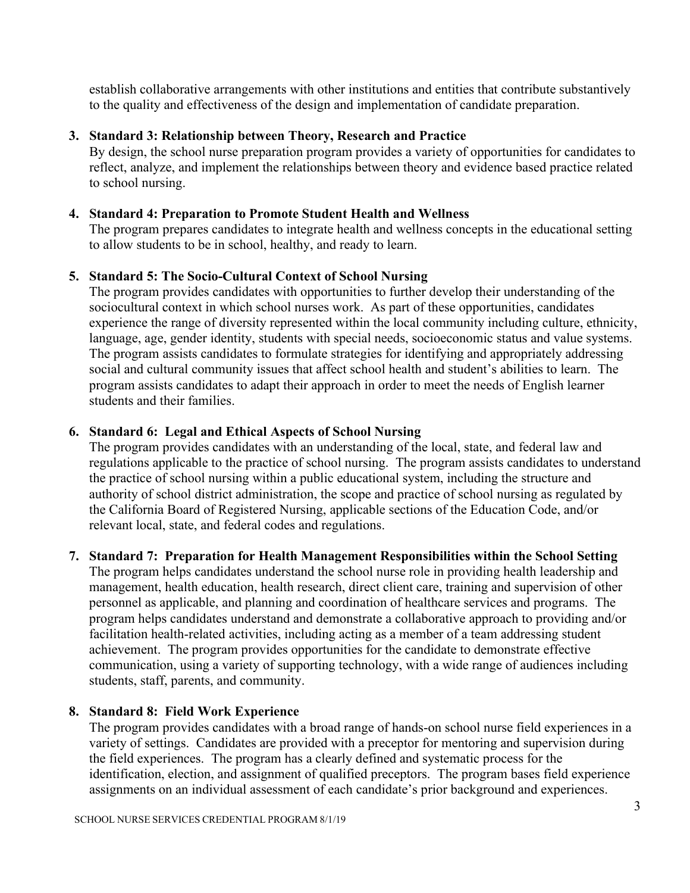establish collaborative arrangements with other institutions and entities that contribute substantively to the quality and effectiveness of the design and implementation of candidate preparation.

# **3. Standard 3: Relationship between Theory, Research and Practice**

By design, the school nurse preparation program provides a variety of opportunities for candidates to reflect, analyze, and implement the relationships between theory and evidence based practice related to school nursing.

## **4. Standard 4: Preparation to Promote Student Health and Wellness**

The program prepares candidates to integrate health and wellness concepts in the educational setting to allow students to be in school, healthy, and ready to learn.

## **5. Standard 5: The Socio-Cultural Context of School Nursing**

The program provides candidates with opportunities to further develop their understanding of the sociocultural context in which school nurses work. As part of these opportunities, candidates experience the range of diversity represented within the local community including culture, ethnicity, language, age, gender identity, students with special needs, socioeconomic status and value systems. The program assists candidates to formulate strategies for identifying and appropriately addressing social and cultural community issues that affect school health and student's abilities to learn. The program assists candidates to adapt their approach in order to meet the needs of English learner students and their families.

## **6. Standard 6: Legal and Ethical Aspects of School Nursing**

The program provides candidates with an understanding of the local, state, and federal law and regulations applicable to the practice of school nursing. The program assists candidates to understand the practice of school nursing within a public educational system, including the structure and authority of school district administration, the scope and practice of school nursing as regulated by the California Board of Registered Nursing, applicable sections of the Education Code, and/or relevant local, state, and federal codes and regulations.

## **7. Standard 7: Preparation for Health Management Responsibilities within the School Setting**

The program helps candidates understand the school nurse role in providing health leadership and management, health education, health research, direct client care, training and supervision of other personnel as applicable, and planning and coordination of healthcare services and programs. The program helps candidates understand and demonstrate a collaborative approach to providing and/or facilitation health-related activities, including acting as a member of a team addressing student achievement. The program provides opportunities for the candidate to demonstrate effective communication, using a variety of supporting technology, with a wide range of audiences including students, staff, parents, and community.

## **8. Standard 8: Field Work Experience**

The program provides candidates with a broad range of hands-on school nurse field experiences in a variety of settings. Candidates are provided with a preceptor for mentoring and supervision during the field experiences. The program has a clearly defined and systematic process for the identification, election, and assignment of qualified preceptors. The program bases field experience assignments on an individual assessment of each candidate's prior background and experiences.